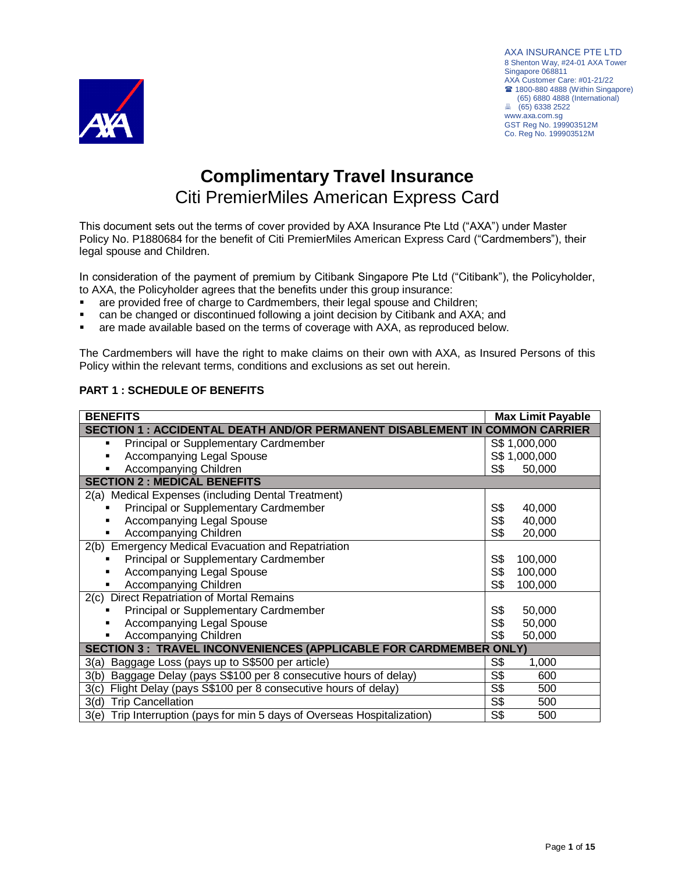

AXA INSURANCE PTE LTD 8 Shenton Way, #24-01 AXA Tower Singapore 068811 AXA Customer Care: #01-21/22 **■ 1800-880 4888 (Within Singapore)**  (65) 6880 4888 (International) (65) 6338 2522 www.axa.com.sg GST Reg No. 199903512M Co. Reg No. 199903512M

# **Complimentary Travel Insurance** Citi PremierMiles American Express Card

This document sets out the terms of cover provided by AXA Insurance Pte Ltd ("AXA") under Master Policy No. P1880684 for the benefit of Citi PremierMiles American Express Card ("Cardmembers"), their legal spouse and Children.

In consideration of the payment of premium by Citibank Singapore Pte Ltd ("Citibank"), the Policyholder, to AXA, the Policyholder agrees that the benefits under this group insurance:

- are provided free of charge to Cardmembers, their legal spouse and Children;
- can be changed or discontinued following a joint decision by Citibank and AXA; and
- are made available based on the terms of coverage with AXA, as reproduced below.

The Cardmembers will have the right to make claims on their own with AXA, as Insured Persons of this Policy within the relevant terms, conditions and exclusions as set out herein.

| <b>BENEFITS</b>                                                                    |                | <b>Max Limit Payable</b> |  |
|------------------------------------------------------------------------------------|----------------|--------------------------|--|
| <b>SECTION 1 : ACCIDENTAL DEATH AND/OR PERMANENT DISABLEMENT IN COMMON CARRIER</b> |                |                          |  |
| Principal or Supplementary Cardmember<br>٠                                         |                | S\$ 1,000,000            |  |
| Accompanying Legal Spouse<br>٠                                                     |                | S\$ 1,000,000            |  |
| Accompanying Children<br>٠                                                         | S\$            | 50,000                   |  |
| <b>SECTION 2: MEDICAL BENEFITS</b>                                                 |                |                          |  |
| 2(a) Medical Expenses (including Dental Treatment)                                 |                |                          |  |
| Principal or Supplementary Cardmember                                              | S\$            | 40,000                   |  |
| <b>Accompanying Legal Spouse</b>                                                   | S <sub>3</sub> | 40,000                   |  |
| Accompanying Children                                                              | S <sub>3</sub> | 20,000                   |  |
| 2(b) Emergency Medical Evacuation and Repatriation                                 |                |                          |  |
| Principal or Supplementary Cardmember                                              | S\$            | 100,000                  |  |
| Accompanying Legal Spouse                                                          | S <sub>3</sub> | 100,000                  |  |
| Accompanying Children                                                              | S <sub>3</sub> | 100,000                  |  |
| 2(c) Direct Repatriation of Mortal Remains                                         |                |                          |  |
| Principal or Supplementary Cardmember                                              | S <sub>3</sub> | 50,000                   |  |
| <b>Accompanying Legal Spouse</b>                                                   | S <sub>3</sub> | 50,000                   |  |
| Accompanying Children                                                              | S\$            | 50,000                   |  |
| <b>SECTION 3 : TRAVEL INCONVENIENCES (APPLICABLE FOR CARDMEMBER ONLY)</b>          |                |                          |  |
| Baggage Loss (pays up to S\$500 per article)<br>3(a)                               | S\$            | 1,000                    |  |
| Baggage Delay (pays S\$100 per 8 consecutive hours of delay)<br>3(b)               | S\$            | 600                      |  |
| Flight Delay (pays S\$100 per 8 consecutive hours of delay)<br>3(c)                | S\$            | 500                      |  |
| <b>Trip Cancellation</b><br>3(d)                                                   | S\$            | 500                      |  |
| Trip Interruption (pays for min 5 days of Overseas Hospitalization)<br>3(e)        | S\$            | 500                      |  |

# **PART 1 : SCHEDULE OF BENEFITS**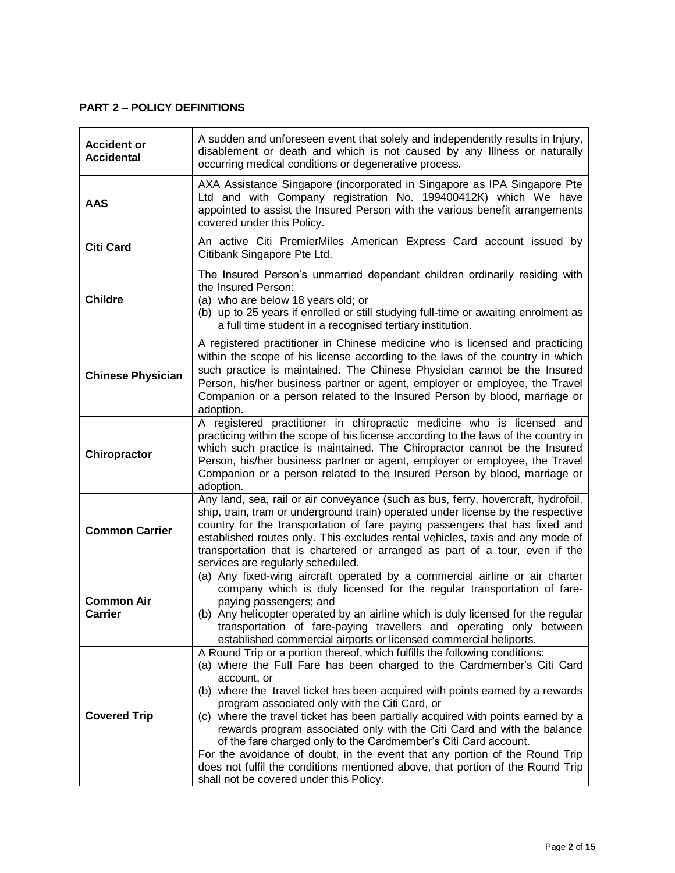# **PART 2 – POLICY DEFINITIONS**

| <b>Accident or</b><br><b>Accidental</b> | A sudden and unforeseen event that solely and independently results in Injury,<br>disablement or death and which is not caused by any Illness or naturally<br>occurring medical conditions or degenerative process.                                                                                                                                                                                                                                                                                                                                                                                                                                                                                                                                  |  |
|-----------------------------------------|------------------------------------------------------------------------------------------------------------------------------------------------------------------------------------------------------------------------------------------------------------------------------------------------------------------------------------------------------------------------------------------------------------------------------------------------------------------------------------------------------------------------------------------------------------------------------------------------------------------------------------------------------------------------------------------------------------------------------------------------------|--|
| <b>AAS</b>                              | AXA Assistance Singapore (incorporated in Singapore as IPA Singapore Pte<br>Ltd and with Company registration No. 199400412K) which We have<br>appointed to assist the Insured Person with the various benefit arrangements<br>covered under this Policy.                                                                                                                                                                                                                                                                                                                                                                                                                                                                                            |  |
| <b>Citi Card</b>                        | An active Citi PremierMiles American Express Card account issued by<br>Citibank Singapore Pte Ltd.                                                                                                                                                                                                                                                                                                                                                                                                                                                                                                                                                                                                                                                   |  |
| <b>Childre</b>                          | The Insured Person's unmarried dependant children ordinarily residing with<br>the Insured Person:<br>(a) who are below 18 years old; or<br>(b) up to 25 years if enrolled or still studying full-time or awaiting enrolment as<br>a full time student in a recognised tertiary institution.                                                                                                                                                                                                                                                                                                                                                                                                                                                          |  |
| <b>Chinese Physician</b>                | A registered practitioner in Chinese medicine who is licensed and practicing<br>within the scope of his license according to the laws of the country in which<br>such practice is maintained. The Chinese Physician cannot be the Insured<br>Person, his/her business partner or agent, employer or employee, the Travel<br>Companion or a person related to the Insured Person by blood, marriage or<br>adoption.                                                                                                                                                                                                                                                                                                                                   |  |
| Chiropractor                            | A registered practitioner in chiropractic medicine who is licensed and<br>practicing within the scope of his license according to the laws of the country in<br>which such practice is maintained. The Chiropractor cannot be the Insured<br>Person, his/her business partner or agent, employer or employee, the Travel<br>Companion or a person related to the Insured Person by blood, marriage or<br>adoption.                                                                                                                                                                                                                                                                                                                                   |  |
| <b>Common Carrier</b>                   | Any land, sea, rail or air conveyance (such as bus, ferry, hovercraft, hydrofoil,<br>ship, train, tram or underground train) operated under license by the respective<br>country for the transportation of fare paying passengers that has fixed and<br>established routes only. This excludes rental vehicles, taxis and any mode of<br>transportation that is chartered or arranged as part of a tour, even if the<br>services are regularly scheduled.                                                                                                                                                                                                                                                                                            |  |
| <b>Common Air</b><br><b>Carrier</b>     | (a) Any fixed-wing aircraft operated by a commercial airline or air charter<br>company which is duly licensed for the regular transportation of fare-<br>paying passengers; and<br>(b) Any helicopter operated by an airline which is duly licensed for the regular<br>transportation of fare-paying travellers and operating only between<br>established commercial airports or licensed commercial heliports.                                                                                                                                                                                                                                                                                                                                      |  |
| <b>Covered Trip</b>                     | A Round Trip or a portion thereof, which fulfills the following conditions:<br>(a) where the Full Fare has been charged to the Cardmember's Citi Card<br>account, or<br>(b) where the travel ticket has been acquired with points earned by a rewards<br>program associated only with the Citi Card, or<br>(c) where the travel ticket has been partially acquired with points earned by a<br>rewards program associated only with the Citi Card and with the balance<br>of the fare charged only to the Cardmember's Citi Card account.<br>For the avoidance of doubt, in the event that any portion of the Round Trip<br>does not fulfil the conditions mentioned above, that portion of the Round Trip<br>shall not be covered under this Policy. |  |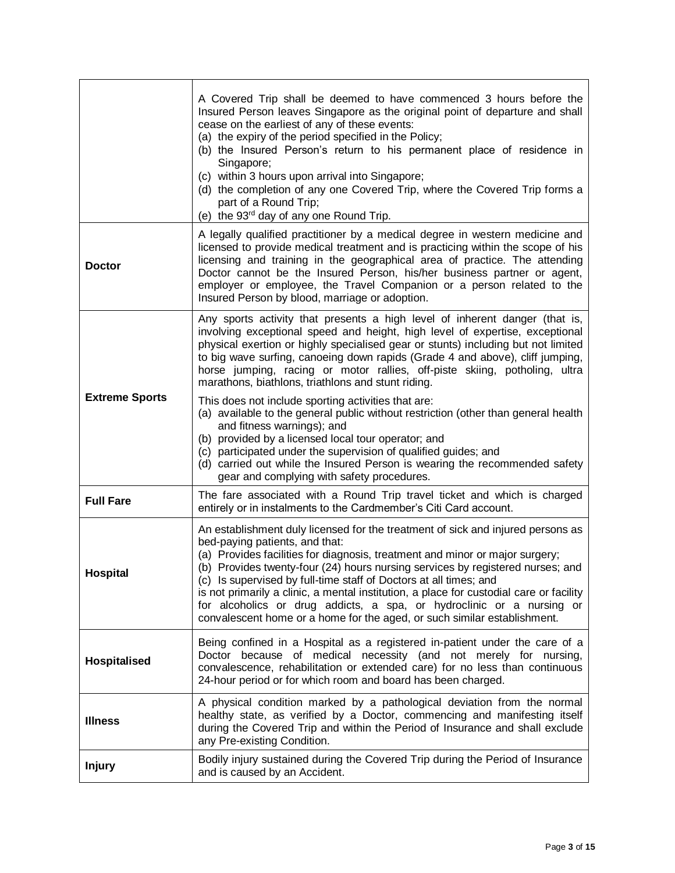|                       | A Covered Trip shall be deemed to have commenced 3 hours before the<br>Insured Person leaves Singapore as the original point of departure and shall<br>cease on the earliest of any of these events:<br>(a) the expiry of the period specified in the Policy;<br>(b) the Insured Person's return to his permanent place of residence in<br>Singapore;<br>(c) within 3 hours upon arrival into Singapore;<br>(d) the completion of any one Covered Trip, where the Covered Trip forms a<br>part of a Round Trip;<br>(e) the 93 <sup>rd</sup> day of any one Round Trip.                                   |
|-----------------------|----------------------------------------------------------------------------------------------------------------------------------------------------------------------------------------------------------------------------------------------------------------------------------------------------------------------------------------------------------------------------------------------------------------------------------------------------------------------------------------------------------------------------------------------------------------------------------------------------------|
| <b>Doctor</b>         | A legally qualified practitioner by a medical degree in western medicine and<br>licensed to provide medical treatment and is practicing within the scope of his<br>licensing and training in the geographical area of practice. The attending<br>Doctor cannot be the Insured Person, his/her business partner or agent,<br>employer or employee, the Travel Companion or a person related to the<br>Insured Person by blood, marriage or adoption.                                                                                                                                                      |
|                       | Any sports activity that presents a high level of inherent danger (that is,<br>involving exceptional speed and height, high level of expertise, exceptional<br>physical exertion or highly specialised gear or stunts) including but not limited<br>to big wave surfing, canoeing down rapids (Grade 4 and above), cliff jumping,<br>horse jumping, racing or motor rallies, off-piste skiing, potholing, ultra<br>marathons, biathlons, triathlons and stunt riding.                                                                                                                                    |
| <b>Extreme Sports</b> | This does not include sporting activities that are:<br>(a) available to the general public without restriction (other than general health<br>and fitness warnings); and<br>(b) provided by a licensed local tour operator; and<br>(c) participated under the supervision of qualified guides; and<br>(d) carried out while the Insured Person is wearing the recommended safety<br>gear and complying with safety procedures.                                                                                                                                                                            |
| <b>Full Fare</b>      | The fare associated with a Round Trip travel ticket and which is charged<br>entirely or in instalments to the Cardmember's Citi Card account.                                                                                                                                                                                                                                                                                                                                                                                                                                                            |
| <b>Hospital</b>       | An establishment duly licensed for the treatment of sick and injured persons as<br>bed-paying patients, and that:<br>(a) Provides facilities for diagnosis, treatment and minor or major surgery;<br>(b) Provides twenty-four (24) hours nursing services by registered nurses; and<br>(c) Is supervised by full-time staff of Doctors at all times; and<br>is not primarily a clinic, a mental institution, a place for custodial care or facility<br>for alcoholics or drug addicts, a spa, or hydroclinic or a nursing or<br>convalescent home or a home for the aged, or such similar establishment. |
| <b>Hospitalised</b>   | Being confined in a Hospital as a registered in-patient under the care of a<br>Doctor because of medical necessity (and not merely for nursing,<br>convalescence, rehabilitation or extended care) for no less than continuous<br>24-hour period or for which room and board has been charged.                                                                                                                                                                                                                                                                                                           |
| <b>Illness</b>        | A physical condition marked by a pathological deviation from the normal<br>healthy state, as verified by a Doctor, commencing and manifesting itself<br>during the Covered Trip and within the Period of Insurance and shall exclude<br>any Pre-existing Condition.                                                                                                                                                                                                                                                                                                                                      |
| <b>Injury</b>         | Bodily injury sustained during the Covered Trip during the Period of Insurance<br>and is caused by an Accident.                                                                                                                                                                                                                                                                                                                                                                                                                                                                                          |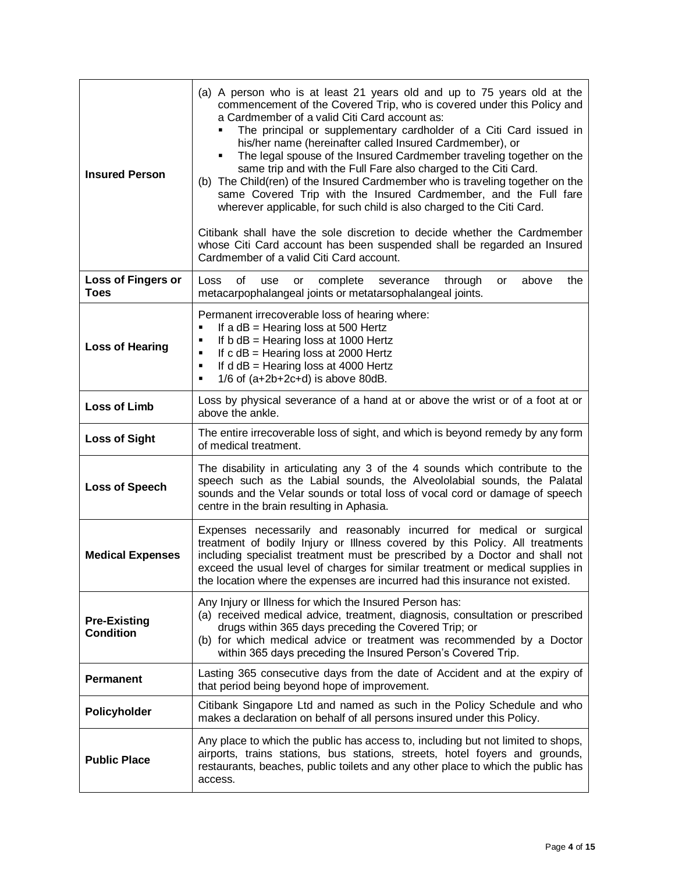| <b>Insured Person</b>                   | (a) A person who is at least 21 years old and up to 75 years old at the<br>commencement of the Covered Trip, who is covered under this Policy and<br>a Cardmember of a valid Citi Card account as:<br>The principal or supplementary cardholder of a Citi Card issued in<br>his/her name (hereinafter called Insured Cardmember), or<br>The legal spouse of the Insured Cardmember traveling together on the<br>same trip and with the Full Fare also charged to the Citi Card.<br>(b) The Child(ren) of the Insured Cardmember who is traveling together on the<br>same Covered Trip with the Insured Cardmember, and the Full fare<br>wherever applicable, for such child is also charged to the Citi Card.<br>Citibank shall have the sole discretion to decide whether the Cardmember<br>whose Citi Card account has been suspended shall be regarded an Insured<br>Cardmember of a valid Citi Card account. |  |  |
|-----------------------------------------|------------------------------------------------------------------------------------------------------------------------------------------------------------------------------------------------------------------------------------------------------------------------------------------------------------------------------------------------------------------------------------------------------------------------------------------------------------------------------------------------------------------------------------------------------------------------------------------------------------------------------------------------------------------------------------------------------------------------------------------------------------------------------------------------------------------------------------------------------------------------------------------------------------------|--|--|
| <b>Loss of Fingers or</b><br>Toes       | οf<br>Loss<br>complete<br>through<br>above<br>the<br>use<br>severance<br>or<br>or<br>metacarpophalangeal joints or metatarsophalangeal joints.                                                                                                                                                                                                                                                                                                                                                                                                                                                                                                                                                                                                                                                                                                                                                                   |  |  |
| <b>Loss of Hearing</b>                  | Permanent irrecoverable loss of hearing where:<br>If a $dB$ = Hearing loss at 500 Hertz<br>٠<br>If $b$ dB = Hearing loss at 1000 Hertz<br>٠<br>If $c$ dB = Hearing loss at 2000 Hertz<br>٠<br>If $d$ dB = Hearing loss at 4000 Hertz<br>٠<br>$1/6$ of (a+2b+2c+d) is above 80dB.<br>٠                                                                                                                                                                                                                                                                                                                                                                                                                                                                                                                                                                                                                            |  |  |
| <b>Loss of Limb</b>                     | Loss by physical severance of a hand at or above the wrist or of a foot at or<br>above the ankle.                                                                                                                                                                                                                                                                                                                                                                                                                                                                                                                                                                                                                                                                                                                                                                                                                |  |  |
| <b>Loss of Sight</b>                    | The entire irrecoverable loss of sight, and which is beyond remedy by any form<br>of medical treatment.                                                                                                                                                                                                                                                                                                                                                                                                                                                                                                                                                                                                                                                                                                                                                                                                          |  |  |
| <b>Loss of Speech</b>                   | The disability in articulating any 3 of the 4 sounds which contribute to the<br>speech such as the Labial sounds, the Alveololabial sounds, the Palatal<br>sounds and the Velar sounds or total loss of vocal cord or damage of speech<br>centre in the brain resulting in Aphasia.                                                                                                                                                                                                                                                                                                                                                                                                                                                                                                                                                                                                                              |  |  |
| <b>Medical Expenses</b>                 | Expenses necessarily and reasonably incurred for medical or surgical<br>treatment of bodily Injury or Illness covered by this Policy. All treatments<br>including specialist treatment must be prescribed by a Doctor and shall not<br>exceed the usual level of charges for similar treatment or medical supplies in<br>the location where the expenses are incurred had this insurance not existed.                                                                                                                                                                                                                                                                                                                                                                                                                                                                                                            |  |  |
| <b>Pre-Existing</b><br><b>Condition</b> | Any Injury or Illness for which the Insured Person has:<br>(a) received medical advice, treatment, diagnosis, consultation or prescribed<br>drugs within 365 days preceding the Covered Trip; or<br>(b) for which medical advice or treatment was recommended by a Doctor<br>within 365 days preceding the Insured Person's Covered Trip.                                                                                                                                                                                                                                                                                                                                                                                                                                                                                                                                                                        |  |  |
| <b>Permanent</b>                        | Lasting 365 consecutive days from the date of Accident and at the expiry of<br>that period being beyond hope of improvement.                                                                                                                                                                                                                                                                                                                                                                                                                                                                                                                                                                                                                                                                                                                                                                                     |  |  |
| Policyholder                            | Citibank Singapore Ltd and named as such in the Policy Schedule and who<br>makes a declaration on behalf of all persons insured under this Policy.                                                                                                                                                                                                                                                                                                                                                                                                                                                                                                                                                                                                                                                                                                                                                               |  |  |
| <b>Public Place</b>                     | Any place to which the public has access to, including but not limited to shops,<br>airports, trains stations, bus stations, streets, hotel foyers and grounds,<br>restaurants, beaches, public toilets and any other place to which the public has<br>access.                                                                                                                                                                                                                                                                                                                                                                                                                                                                                                                                                                                                                                                   |  |  |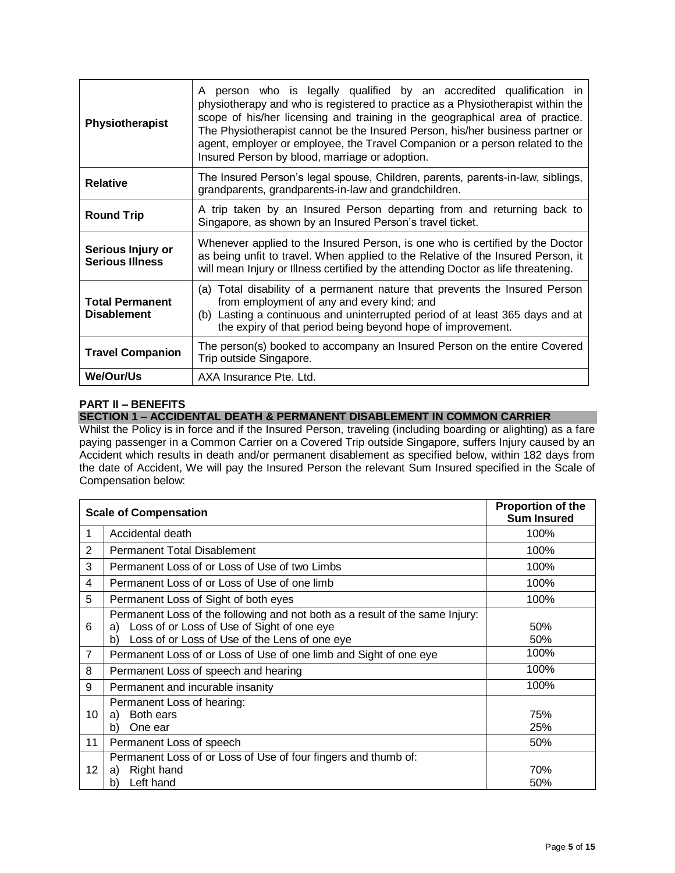| Physiotherapist                              | A person who is legally qualified by an accredited qualification in<br>physiotherapy and who is registered to practice as a Physiotherapist within the<br>scope of his/her licensing and training in the geographical area of practice.<br>The Physiotherapist cannot be the Insured Person, his/her business partner or<br>agent, employer or employee, the Travel Companion or a person related to the<br>Insured Person by blood, marriage or adoption. |  |
|----------------------------------------------|------------------------------------------------------------------------------------------------------------------------------------------------------------------------------------------------------------------------------------------------------------------------------------------------------------------------------------------------------------------------------------------------------------------------------------------------------------|--|
| <b>Relative</b>                              | The Insured Person's legal spouse, Children, parents, parents-in-law, siblings,<br>grandparents, grandparents-in-law and grandchildren.                                                                                                                                                                                                                                                                                                                    |  |
| <b>Round Trip</b>                            | A trip taken by an Insured Person departing from and returning back to<br>Singapore, as shown by an Insured Person's travel ticket.                                                                                                                                                                                                                                                                                                                        |  |
| Serious Injury or<br><b>Serious Illness</b>  | Whenever applied to the Insured Person, is one who is certified by the Doctor<br>as being unfit to travel. When applied to the Relative of the Insured Person, it<br>will mean Injury or Illness certified by the attending Doctor as life threatening.                                                                                                                                                                                                    |  |
| <b>Total Permanent</b><br><b>Disablement</b> | (a) Total disability of a permanent nature that prevents the Insured Person<br>from employment of any and every kind; and<br>(b) Lasting a continuous and uninterrupted period of at least 365 days and at<br>the expiry of that period being beyond hope of improvement.                                                                                                                                                                                  |  |
| <b>Travel Companion</b>                      | The person(s) booked to accompany an Insured Person on the entire Covered<br>Trip outside Singapore.                                                                                                                                                                                                                                                                                                                                                       |  |
| We/Our/Us                                    | AXA Insurance Pte. Ltd.                                                                                                                                                                                                                                                                                                                                                                                                                                    |  |

# **PART II – BENEFITS**

# **SECTION 1 – ACCIDENTAL DEATH & PERMANENT DISABLEMENT IN COMMON CARRIER**

Whilst the Policy is in force and if the Insured Person, traveling (including boarding or alighting) as a fare paying passenger in a Common Carrier on a Covered Trip outside Singapore, suffers Injury caused by an Accident which results in death and/or permanent disablement as specified below, within 182 days from the date of Accident, We will pay the Insured Person the relevant Sum Insured specified in the Scale of Compensation below:

| <b>Scale of Compensation</b> |                                                                                                                                                                                         | <b>Proportion of the</b><br><b>Sum Insured</b> |
|------------------------------|-----------------------------------------------------------------------------------------------------------------------------------------------------------------------------------------|------------------------------------------------|
| 1                            | Accidental death                                                                                                                                                                        | 100%                                           |
| $\overline{2}$               | <b>Permanent Total Disablement</b>                                                                                                                                                      | 100%                                           |
| 3                            | Permanent Loss of or Loss of Use of two Limbs                                                                                                                                           | 100%                                           |
| 4                            | Permanent Loss of or Loss of Use of one limb                                                                                                                                            | 100%                                           |
| 5                            | Permanent Loss of Sight of both eyes                                                                                                                                                    | 100%                                           |
| 6                            | Permanent Loss of the following and not both as a result of the same Injury:<br>Loss of or Loss of Use of Sight of one eye<br>a)<br>Loss of or Loss of Use of the Lens of one eye<br>b) | 50%<br>50%                                     |
| $\overline{7}$               | Permanent Loss of or Loss of Use of one limb and Sight of one eye                                                                                                                       | 100%                                           |
| 8                            | Permanent Loss of speech and hearing                                                                                                                                                    | 100%                                           |
| 9                            | Permanent and incurable insanity                                                                                                                                                        | 100%                                           |
| 10                           | Permanent Loss of hearing:<br>Both ears<br>a)<br>One ear<br>b)                                                                                                                          | 75%<br>25%                                     |
| 11                           | Permanent Loss of speech                                                                                                                                                                | 50%                                            |
| 12                           | Permanent Loss of or Loss of Use of four fingers and thumb of:<br>Right hand<br>a)<br>Left hand<br>b)                                                                                   | 70%<br>50%                                     |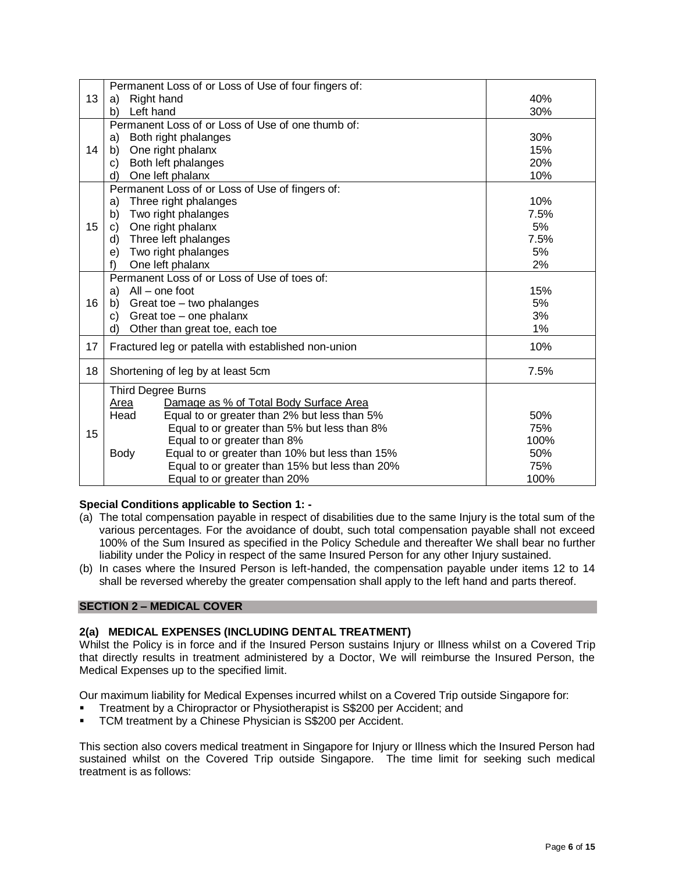|    | Permanent Loss of or Loss of Use of four fingers of:          |      |
|----|---------------------------------------------------------------|------|
| 13 | Right hand<br>a)                                              | 40%  |
|    | Left hand<br>b)                                               | 30%  |
|    | Permanent Loss of or Loss of Use of one thumb of:             |      |
| 14 | Both right phalanges<br>a)                                    | 30%  |
|    | One right phalanx<br>b)                                       | 15%  |
|    | Both left phalanges<br>C)                                     | 20%  |
|    | One left phalanx<br>d)                                        | 10%  |
|    | Permanent Loss of or Loss of Use of fingers of:               |      |
| 15 | Three right phalanges<br>a)                                   | 10%  |
|    | Two right phalanges<br>b)                                     | 7.5% |
|    | One right phalanx<br>C)                                       | 5%   |
|    | Three left phalanges<br>d)                                    | 7.5% |
|    | Two right phalanges<br>e)                                     | 5%   |
|    | f)<br>One left phalanx                                        | 2%   |
|    | Permanent Loss of or Loss of Use of toes of:                  |      |
|    | All – one foot<br>a)                                          | 15%  |
| 16 | Great toe - two phalanges<br>b)                               | 5%   |
|    | Great toe - one phalanx<br>C)                                 | 3%   |
|    | Other than great toe, each toe<br>d)                          | 1%   |
| 17 | 10%<br>Fractured leg or patella with established non-union    |      |
| 18 | Shortening of leg by at least 5cm<br>7.5%                     |      |
|    | Third Degree Burns                                            |      |
|    | Damage as % of Total Body Surface Area<br>Area                |      |
|    | Equal to or greater than 2% but less than 5%<br>Head          | 50%  |
|    | Equal to or greater than 5% but less than 8%                  | 75%  |
| 15 | Equal to or greater than 8%                                   | 100% |
|    | Equal to or greater than 10% but less than 15%<br><b>Body</b> | 50%  |
|    | Equal to or greater than 15% but less than 20%                | 75%  |
|    | Equal to or greater than 20%                                  | 100% |

# **Special Conditions applicable to Section 1: -**

- (a) The total compensation payable in respect of disabilities due to the same Injury is the total sum of the various percentages. For the avoidance of doubt, such total compensation payable shall not exceed 100% of the Sum Insured as specified in the Policy Schedule and thereafter We shall bear no further liability under the Policy in respect of the same Insured Person for any other Injury sustained.
- (b) In cases where the Insured Person is left-handed, the compensation payable under items 12 to 14 shall be reversed whereby the greater compensation shall apply to the left hand and parts thereof.

# **SECTION 2 – MEDICAL COVER**

## **2(a) MEDICAL EXPENSES (INCLUDING DENTAL TREATMENT)**

Whilst the Policy is in force and if the Insured Person sustains Injury or Illness whilst on a Covered Trip that directly results in treatment administered by a Doctor, We will reimburse the Insured Person, the Medical Expenses up to the specified limit.

Our maximum liability for Medical Expenses incurred whilst on a Covered Trip outside Singapore for:

- Treatment by a Chiropractor or Physiotherapist is S\$200 per Accident; and
- TCM treatment by a Chinese Physician is S\$200 per Accident.

This section also covers medical treatment in Singapore for Injury or Illness which the Insured Person had sustained whilst on the Covered Trip outside Singapore. The time limit for seeking such medical treatment is as follows: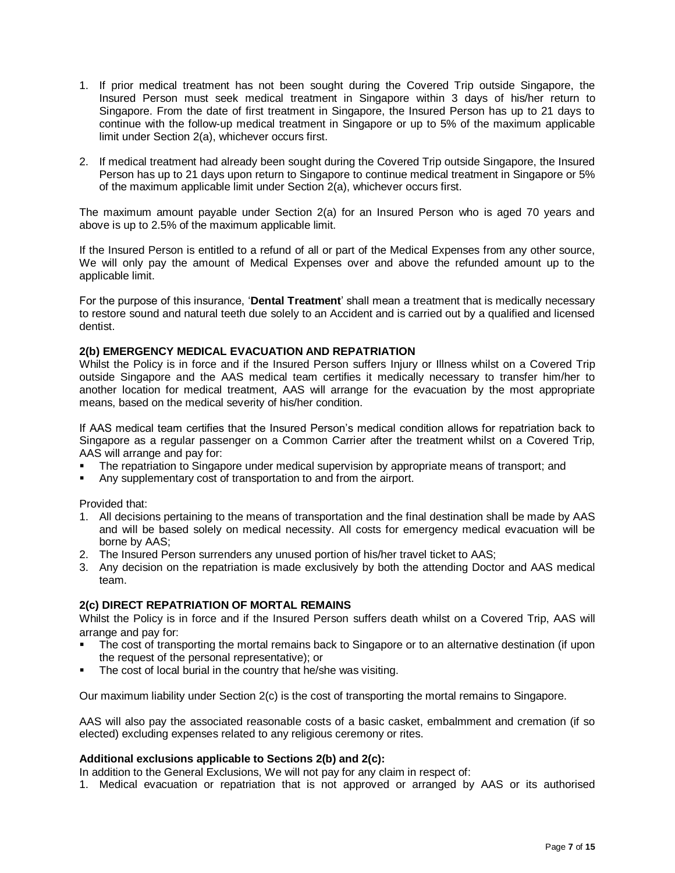- 1. If prior medical treatment has not been sought during the Covered Trip outside Singapore, the Insured Person must seek medical treatment in Singapore within 3 days of his/her return to Singapore. From the date of first treatment in Singapore, the Insured Person has up to 21 days to continue with the follow-up medical treatment in Singapore or up to 5% of the maximum applicable limit under Section 2(a), whichever occurs first.
- 2. If medical treatment had already been sought during the Covered Trip outside Singapore, the Insured Person has up to 21 days upon return to Singapore to continue medical treatment in Singapore or 5% of the maximum applicable limit under Section 2(a), whichever occurs first.

The maximum amount payable under Section 2(a) for an Insured Person who is aged 70 years and above is up to 2.5% of the maximum applicable limit.

If the Insured Person is entitled to a refund of all or part of the Medical Expenses from any other source, We will only pay the amount of Medical Expenses over and above the refunded amount up to the applicable limit.

For the purpose of this insurance, '**Dental Treatment**' shall mean a treatment that is medically necessary to restore sound and natural teeth due solely to an Accident and is carried out by a qualified and licensed dentist.

# **2(b) EMERGENCY MEDICAL EVACUATION AND REPATRIATION**

Whilst the Policy is in force and if the Insured Person suffers Injury or Illness whilst on a Covered Trip outside Singapore and the AAS medical team certifies it medically necessary to transfer him/her to another location for medical treatment, AAS will arrange for the evacuation by the most appropriate means, based on the medical severity of his/her condition.

If AAS medical team certifies that the Insured Person's medical condition allows for repatriation back to Singapore as a regular passenger on a Common Carrier after the treatment whilst on a Covered Trip, AAS will arrange and pay for:

- The repatriation to Singapore under medical supervision by appropriate means of transport; and
- Any supplementary cost of transportation to and from the airport.

Provided that:

- 1. All decisions pertaining to the means of transportation and the final destination shall be made by AAS and will be based solely on medical necessity. All costs for emergency medical evacuation will be borne by AAS;
- 2. The Insured Person surrenders any unused portion of his/her travel ticket to AAS;
- 3. Any decision on the repatriation is made exclusively by both the attending Doctor and AAS medical team.

# **2(c) DIRECT REPATRIATION OF MORTAL REMAINS**

Whilst the Policy is in force and if the Insured Person suffers death whilst on a Covered Trip, AAS will arrange and pay for:

- The cost of transporting the mortal remains back to Singapore or to an alternative destination (if upon the request of the personal representative); or
- The cost of local burial in the country that he/she was visiting.

Our maximum liability under Section 2(c) is the cost of transporting the mortal remains to Singapore.

AAS will also pay the associated reasonable costs of a basic casket, embalmment and cremation (if so elected) excluding expenses related to any religious ceremony or rites.

# **Additional exclusions applicable to Sections 2(b) and 2(c):**

In addition to the General Exclusions, We will not pay for any claim in respect of:

1. Medical evacuation or repatriation that is not approved or arranged by AAS or its authorised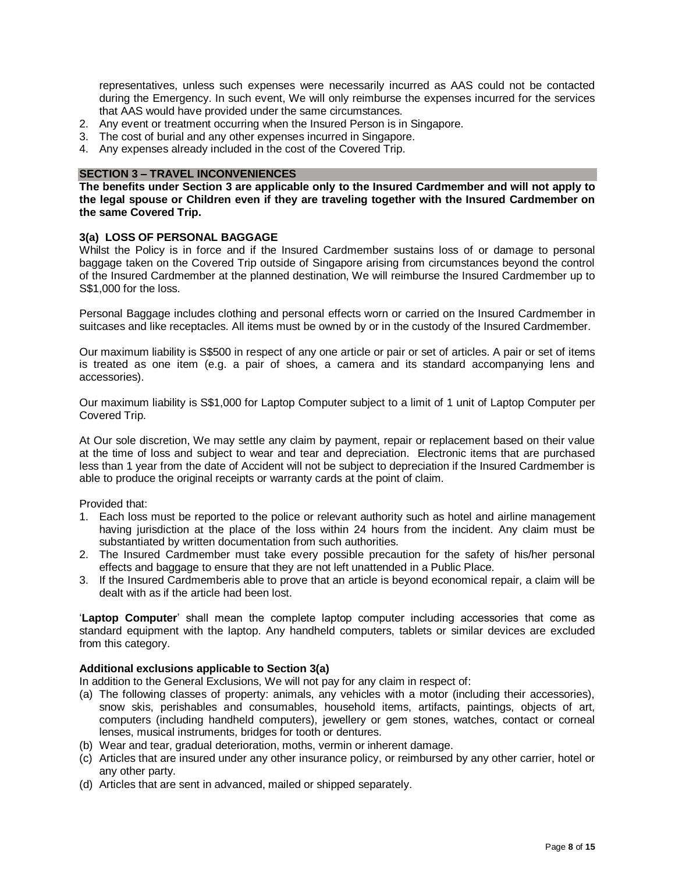representatives, unless such expenses were necessarily incurred as AAS could not be contacted during the Emergency. In such event, We will only reimburse the expenses incurred for the services that AAS would have provided under the same circumstances.

- 2. Any event or treatment occurring when the Insured Person is in Singapore.
- 3. The cost of burial and any other expenses incurred in Singapore.
- 4. Any expenses already included in the cost of the Covered Trip.

## **SECTION 3 – TRAVEL INCONVENIENCES**

**The benefits under Section 3 are applicable only to the Insured Cardmember and will not apply to the legal spouse or Children even if they are traveling together with the Insured Cardmember on the same Covered Trip.** 

# **3(a) LOSS OF PERSONAL BAGGAGE**

Whilst the Policy is in force and if the Insured Cardmember sustains loss of or damage to personal baggage taken on the Covered Trip outside of Singapore arising from circumstances beyond the control of the Insured Cardmember at the planned destination, We will reimburse the Insured Cardmember up to S\$1,000 for the loss.

Personal Baggage includes clothing and personal effects worn or carried on the Insured Cardmember in suitcases and like receptacles. All items must be owned by or in the custody of the Insured Cardmember.

Our maximum liability is S\$500 in respect of any one article or pair or set of articles. A pair or set of items is treated as one item (e.g. a pair of shoes, a camera and its standard accompanying lens and accessories).

Our maximum liability is S\$1,000 for Laptop Computer subject to a limit of 1 unit of Laptop Computer per Covered Trip.

At Our sole discretion, We may settle any claim by payment, repair or replacement based on their value at the time of loss and subject to wear and tear and depreciation. Electronic items that are purchased less than 1 year from the date of Accident will not be subject to depreciation if the Insured Cardmember is able to produce the original receipts or warranty cards at the point of claim.

Provided that:

- 1. Each loss must be reported to the police or relevant authority such as hotel and airline management having jurisdiction at the place of the loss within 24 hours from the incident. Any claim must be substantiated by written documentation from such authorities.
- 2. The Insured Cardmember must take every possible precaution for the safety of his/her personal effects and baggage to ensure that they are not left unattended in a Public Place.
- 3. If the Insured Cardmemberis able to prove that an article is beyond economical repair, a claim will be dealt with as if the article had been lost.

'**Laptop Computer**' shall mean the complete laptop computer including accessories that come as standard equipment with the laptop. Any handheld computers, tablets or similar devices are excluded from this category.

## **Additional exclusions applicable to Section 3(a)**

In addition to the General Exclusions, We will not pay for any claim in respect of:

- (a) The following classes of property: animals, any vehicles with a motor (including their accessories), snow skis, perishables and consumables, household items, artifacts, paintings, objects of art, computers (including handheld computers), jewellery or gem stones, watches, contact or corneal lenses, musical instruments, bridges for tooth or dentures.
- (b) Wear and tear, gradual deterioration, moths, vermin or inherent damage.
- (c) Articles that are insured under any other insurance policy, or reimbursed by any other carrier, hotel or any other party.
- (d) Articles that are sent in advanced, mailed or shipped separately.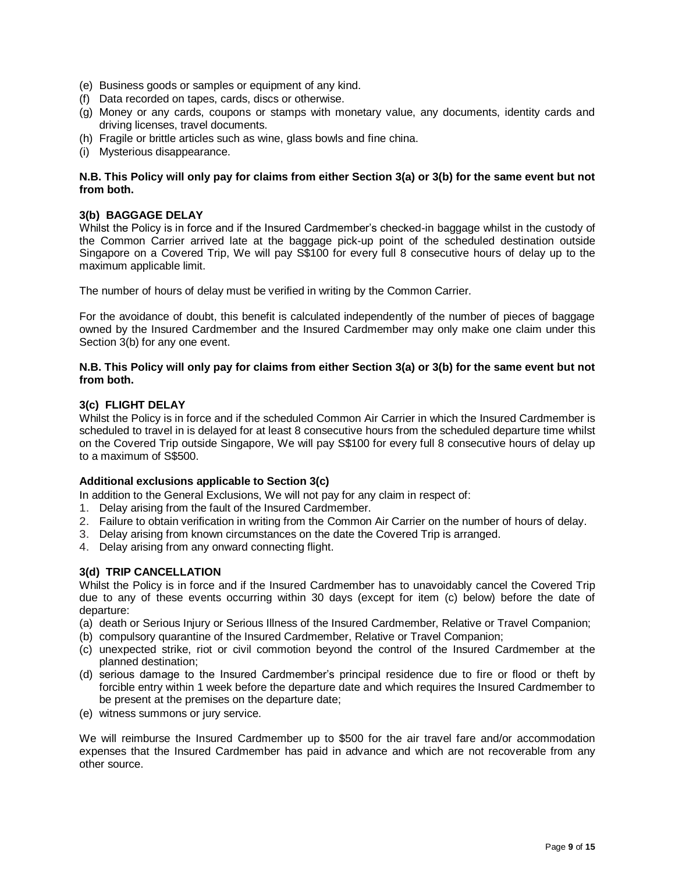- (e) Business goods or samples or equipment of any kind.
- (f) Data recorded on tapes, cards, discs or otherwise.
- (g) Money or any cards, coupons or stamps with monetary value, any documents, identity cards and driving licenses, travel documents.
- (h) Fragile or brittle articles such as wine, glass bowls and fine china.
- (i) Mysterious disappearance.

# **N.B. This Policy will only pay for claims from either Section 3(a) or 3(b) for the same event but not from both.**

# **3(b) BAGGAGE DELAY**

Whilst the Policy is in force and if the Insured Cardmember's checked-in baggage whilst in the custody of the Common Carrier arrived late at the baggage pick-up point of the scheduled destination outside Singapore on a Covered Trip, We will pay S\$100 for every full 8 consecutive hours of delay up to the maximum applicable limit.

The number of hours of delay must be verified in writing by the Common Carrier.

For the avoidance of doubt, this benefit is calculated independently of the number of pieces of baggage owned by the Insured Cardmember and the Insured Cardmember may only make one claim under this Section 3(b) for any one event.

# **N.B. This Policy will only pay for claims from either Section 3(a) or 3(b) for the same event but not from both.**

# **3(c) FLIGHT DELAY**

Whilst the Policy is in force and if the scheduled Common Air Carrier in which the Insured Cardmember is scheduled to travel in is delayed for at least 8 consecutive hours from the scheduled departure time whilst on the Covered Trip outside Singapore, We will pay S\$100 for every full 8 consecutive hours of delay up to a maximum of S\$500.

# **Additional exclusions applicable to Section 3(c)**

In addition to the General Exclusions, We will not pay for any claim in respect of:

- 1. Delay arising from the fault of the Insured Cardmember.
- 2. Failure to obtain verification in writing from the Common Air Carrier on the number of hours of delay.
- 3. Delay arising from known circumstances on the date the Covered Trip is arranged.
- 4. Delay arising from any onward connecting flight.

# **3(d) TRIP CANCELLATION**

Whilst the Policy is in force and if the Insured Cardmember has to unavoidably cancel the Covered Trip due to any of these events occurring within 30 days (except for item (c) below) before the date of departure:

- (a) death or Serious Injury or Serious Illness of the Insured Cardmember, Relative or Travel Companion;
- (b) compulsory quarantine of the Insured Cardmember, Relative or Travel Companion;
- (c) unexpected strike, riot or civil commotion beyond the control of the Insured Cardmember at the planned destination;
- (d) serious damage to the Insured Cardmember's principal residence due to fire or flood or theft by forcible entry within 1 week before the departure date and which requires the Insured Cardmember to be present at the premises on the departure date;
- (e) witness summons or jury service.

We will reimburse the Insured Cardmember up to \$500 for the air travel fare and/or accommodation expenses that the Insured Cardmember has paid in advance and which are not recoverable from any other source.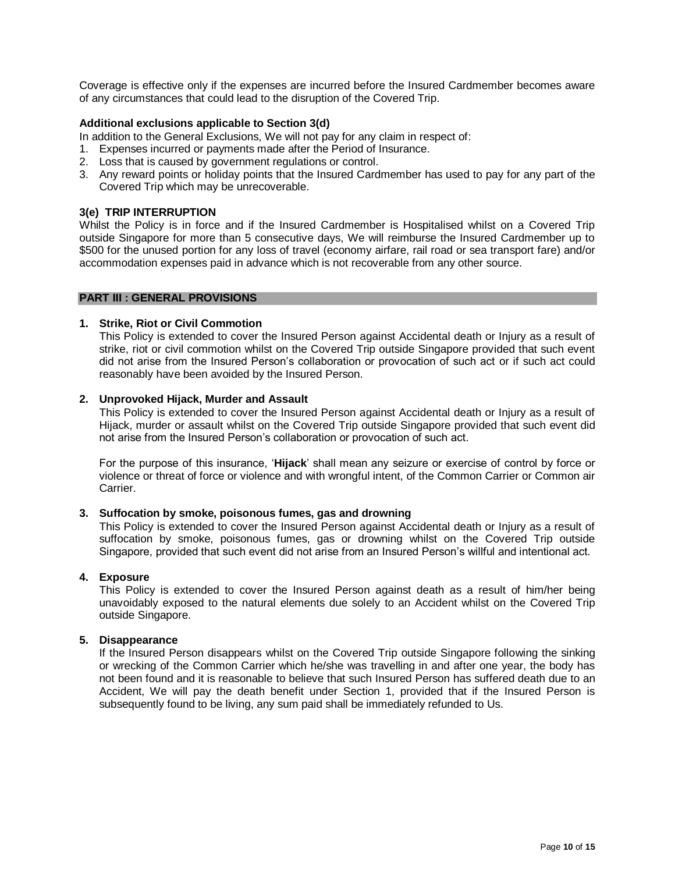Coverage is effective only if the expenses are incurred before the Insured Cardmember becomes aware of any circumstances that could lead to the disruption of the Covered Trip.

# **Additional exclusions applicable to Section 3(d)**

In addition to the General Exclusions, We will not pay for any claim in respect of:

- 1. Expenses incurred or payments made after the Period of Insurance.
- 2. Loss that is caused by government regulations or control.
- 3. Any reward points or holiday points that the Insured Cardmember has used to pay for any part of the Covered Trip which may be unrecoverable.

# **3(e) TRIP INTERRUPTION**

Whilst the Policy is in force and if the Insured Cardmember is Hospitalised whilst on a Covered Trip outside Singapore for more than 5 consecutive days, We will reimburse the Insured Cardmember up to \$500 for the unused portion for any loss of travel (economy airfare, rail road or sea transport fare) and/or accommodation expenses paid in advance which is not recoverable from any other source.

## **PART III : GENERAL PROVISIONS**

#### **1. Strike, Riot or Civil Commotion**

This Policy is extended to cover the Insured Person against Accidental death or Injury as a result of strike, riot or civil commotion whilst on the Covered Trip outside Singapore provided that such event did not arise from the Insured Person's collaboration or provocation of such act or if such act could reasonably have been avoided by the Insured Person.

## **2. Unprovoked Hijack, Murder and Assault**

This Policy is extended to cover the Insured Person against Accidental death or Injury as a result of Hijack, murder or assault whilst on the Covered Trip outside Singapore provided that such event did not arise from the Insured Person's collaboration or provocation of such act.

For the purpose of this insurance, '**Hijack**' shall mean any seizure or exercise of control by force or violence or threat of force or violence and with wrongful intent, of the Common Carrier or Common air Carrier.

### **3. Suffocation by smoke, poisonous fumes, gas and drowning**

This Policy is extended to cover the Insured Person against Accidental death or Injury as a result of suffocation by smoke, poisonous fumes, gas or drowning whilst on the Covered Trip outside Singapore, provided that such event did not arise from an Insured Person's willful and intentional act.

#### **4. Exposure**

This Policy is extended to cover the Insured Person against death as a result of him/her being unavoidably exposed to the natural elements due solely to an Accident whilst on the Covered Trip outside Singapore.

## **5. Disappearance**

If the Insured Person disappears whilst on the Covered Trip outside Singapore following the sinking or wrecking of the Common Carrier which he/she was travelling in and after one year, the body has not been found and it is reasonable to believe that such Insured Person has suffered death due to an Accident, We will pay the death benefit under Section 1, provided that if the Insured Person is subsequently found to be living, any sum paid shall be immediately refunded to Us.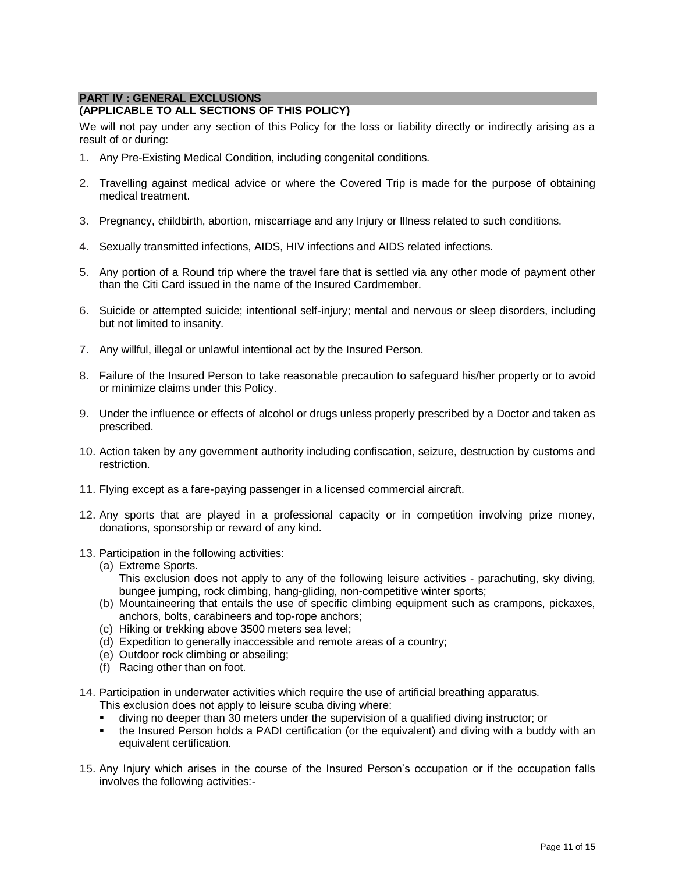# **PART IV : GENERAL EXCLUSIONS**

# **(APPLICABLE TO ALL SECTIONS OF THIS POLICY)**

We will not pay under any section of this Policy for the loss or liability directly or indirectly arising as a result of or during:

- 1. Any Pre-Existing Medical Condition, including congenital conditions.
- 2. Travelling against medical advice or where the Covered Trip is made for the purpose of obtaining medical treatment.
- 3. Pregnancy, childbirth, abortion, miscarriage and any Injury or Illness related to such conditions.
- 4. Sexually transmitted infections, AIDS, HIV infections and AIDS related infections.
- 5. Any portion of a Round trip where the travel fare that is settled via any other mode of payment other than the Citi Card issued in the name of the Insured Cardmember.
- 6. Suicide or attempted suicide; intentional self-injury; mental and nervous or sleep disorders, including but not limited to insanity.
- 7. Any willful, illegal or unlawful intentional act by the Insured Person.
- 8. Failure of the Insured Person to take reasonable precaution to safeguard his/her property or to avoid or minimize claims under this Policy.
- 9. Under the influence or effects of alcohol or drugs unless properly prescribed by a Doctor and taken as prescribed.
- 10. Action taken by any government authority including confiscation, seizure, destruction by customs and restriction.
- 11. Flying except as a fare-paying passenger in a licensed commercial aircraft.
- 12. Any sports that are played in a professional capacity or in competition involving prize money, donations, sponsorship or reward of any kind.
- 13. Participation in the following activities:
	- (a) Extreme Sports.
		- This exclusion does not apply to any of the following leisure activities parachuting, sky diving, bungee jumping, rock climbing, hang-gliding, non-competitive winter sports;
	- (b) Mountaineering that entails the use of specific climbing equipment such as crampons, pickaxes, anchors, bolts, carabineers and top-rope anchors;
	- (c) Hiking or trekking above 3500 meters sea level;
	- (d) Expedition to generally inaccessible and remote areas of a country;
	- (e) Outdoor rock climbing or abseiling;
	- (f) Racing other than on foot.
- 14. Participation in underwater activities which require the use of artificial breathing apparatus.
	- This exclusion does not apply to leisure scuba diving where:
	- diving no deeper than 30 meters under the supervision of a qualified diving instructor; or
	- the Insured Person holds a PADI certification (or the equivalent) and diving with a buddy with an equivalent certification.
- 15. Any Injury which arises in the course of the Insured Person's occupation or if the occupation falls involves the following activities:-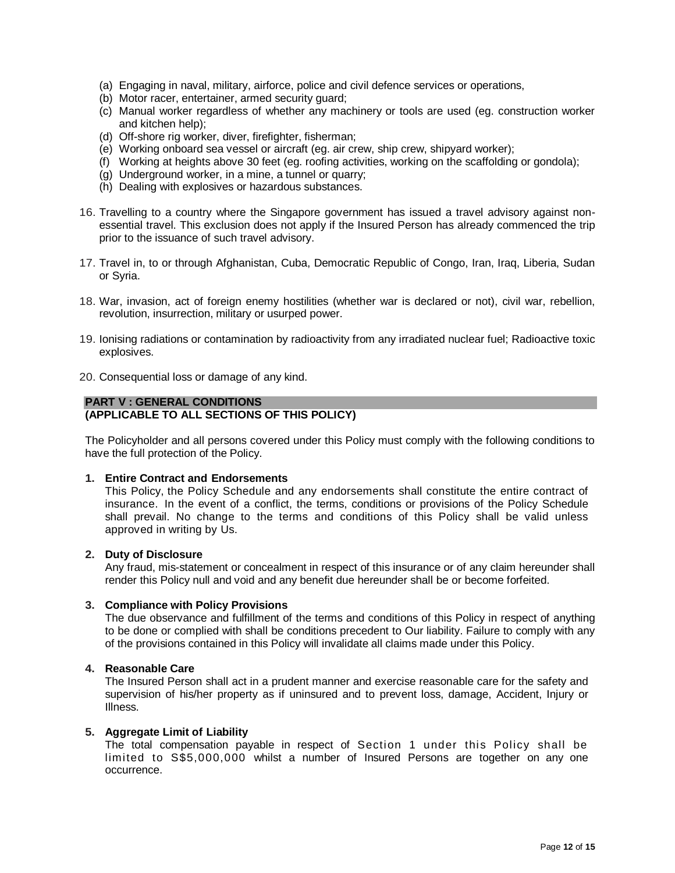- (a) Engaging in naval, military, airforce, police and civil defence services or operations,
- (b) Motor racer, entertainer, armed security guard;
- (c) Manual worker regardless of whether any machinery or tools are used (eg. construction worker and kitchen help);
- (d) Off-shore rig worker, diver, firefighter, fisherman;
- (e) Working onboard sea vessel or aircraft (eg. air crew, ship crew, shipyard worker);
- (f) Working at heights above 30 feet (eg. roofing activities, working on the scaffolding or gondola);
- (g) Underground worker, in a mine, a tunnel or quarry;
- (h) Dealing with explosives or hazardous substances.
- 16. Travelling to a country where the Singapore government has issued a travel advisory against nonessential travel. This exclusion does not apply if the Insured Person has already commenced the trip prior to the issuance of such travel advisory.
- 17. Travel in, to or through Afghanistan, Cuba, Democratic Republic of Congo, Iran, Iraq, Liberia, Sudan or Syria.
- 18. War, invasion, act of foreign enemy hostilities (whether war is declared or not), civil war, rebellion, revolution, insurrection, military or usurped power.
- 19. Ionising radiations or contamination by radioactivity from any irradiated nuclear fuel; Radioactive toxic explosives.
- 20. Consequential loss or damage of any kind.

## **PART V : GENERAL CONDITIONS**

# **(APPLICABLE TO ALL SECTIONS OF THIS POLICY)**

The Policyholder and all persons covered under this Policy must comply with the following conditions to have the full protection of the Policy.

## **1. Entire Contract and Endorsements**

This Policy, the Policy Schedule and any endorsements shall constitute the entire contract of insurance. In the event of a conflict, the terms, conditions or provisions of the Policy Schedule shall prevail. No change to the terms and conditions of this Policy shall be valid unless approved in writing by Us.

#### **2. Duty of Disclosure**

Any fraud, mis-statement or concealment in respect of this insurance or of any claim hereunder shall render this Policy null and void and any benefit due hereunder shall be or become forfeited.

## **3. Compliance with Policy Provisions**

The due observance and fulfillment of the terms and conditions of this Policy in respect of anything to be done or complied with shall be conditions precedent to Our liability. Failure to comply with any of the provisions contained in this Policy will invalidate all claims made under this Policy.

## **4. Reasonable Care**

The Insured Person shall act in a prudent manner and exercise reasonable care for the safety and supervision of his/her property as if uninsured and to prevent loss, damage, Accident, Injury or Illness.

# **5. Aggregate Limit of Liability**

The total compensation payable in respect of Section 1 under this Policy shall be limited to S\$5,000,000 whilst a number of Insured Persons are together on any one occurrence.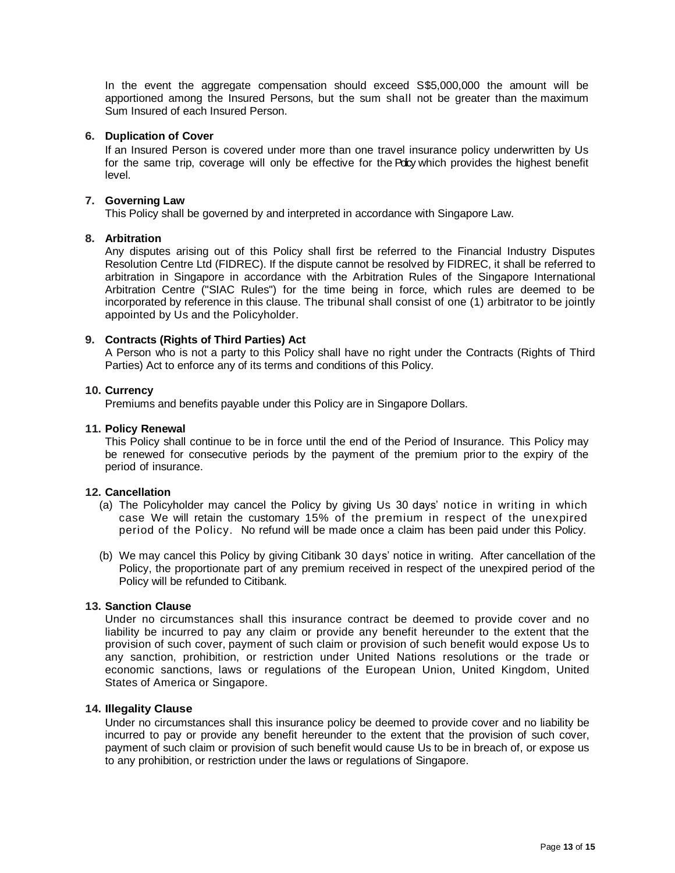In the event the aggregate compensation should exceed S\$5,000,000 the amount will be apportioned among the Insured Persons, but the sum shall not be greater than the maximum Sum Insured of each Insured Person.

# **6. Duplication of Cover**

If an Insured Person is covered under more than one travel insurance policy underwritten by Us for the same trip, coverage will only be effective for the Policy which provides the highest benefit level.

# **7. Governing Law**

This Policy shall be governed by and interpreted in accordance with Singapore Law.

## **8. Arbitration**

Any disputes arising out of this Policy shall first be referred to the Financial Industry Disputes Resolution Centre Ltd (FIDREC). If the dispute cannot be resolved by FIDREC, it shall be referred to arbitration in Singapore in accordance with the Arbitration Rules of the Singapore International Arbitration Centre ("SIAC Rules") for the time being in force, which rules are deemed to be incorporated by reference in this clause. The tribunal shall consist of one (1) arbitrator to be jointly appointed by Us and the Policyholder.

# **9. Contracts (Rights of Third Parties) Act**

A Person who is not a party to this Policy shall have no right under the Contracts (Rights of Third Parties) Act to enforce any of its terms and conditions of this Policy.

## **10. Currency**

Premiums and benefits payable under this Policy are in Singapore Dollars.

## **11. Policy Renewal**

This Policy shall continue to be in force until the end of the Period of Insurance. This Policy may be renewed for consecutive periods by the payment of the premium prior to the expiry of the period of insurance.

# **12. Cancellation**

- (a) The Policyholder may cancel the Policy by giving Us 30 days' notice in writing in which case We will retain the customary 15% of the premium in respect of the unexpired period of the Policy. No refund will be made once a claim has been paid under this Policy.
- (b) We may cancel this Policy by giving Citibank 30 days' notice in writing. After cancellation of the Policy, the proportionate part of any premium received in respect of the unexpired period of the Policy will be refunded to Citibank.

## **13. Sanction Clause**

Under no circumstances shall this insurance contract be deemed to provide cover and no liability be incurred to pay any claim or provide any benefit hereunder to the extent that the provision of such cover, payment of such claim or provision of such benefit would expose Us to any sanction, prohibition, or restriction under United Nations resolutions or the trade or economic sanctions, laws or regulations of the European Union, United Kingdom, United States of America or Singapore.

# **14. Illegality Clause**

Under no circumstances shall this insurance policy be deemed to provide cover and no liability be incurred to pay or provide any benefit hereunder to the extent that the provision of such cover, payment of such claim or provision of such benefit would cause Us to be in breach of, or expose us to any prohibition, or restriction under the laws or regulations of Singapore.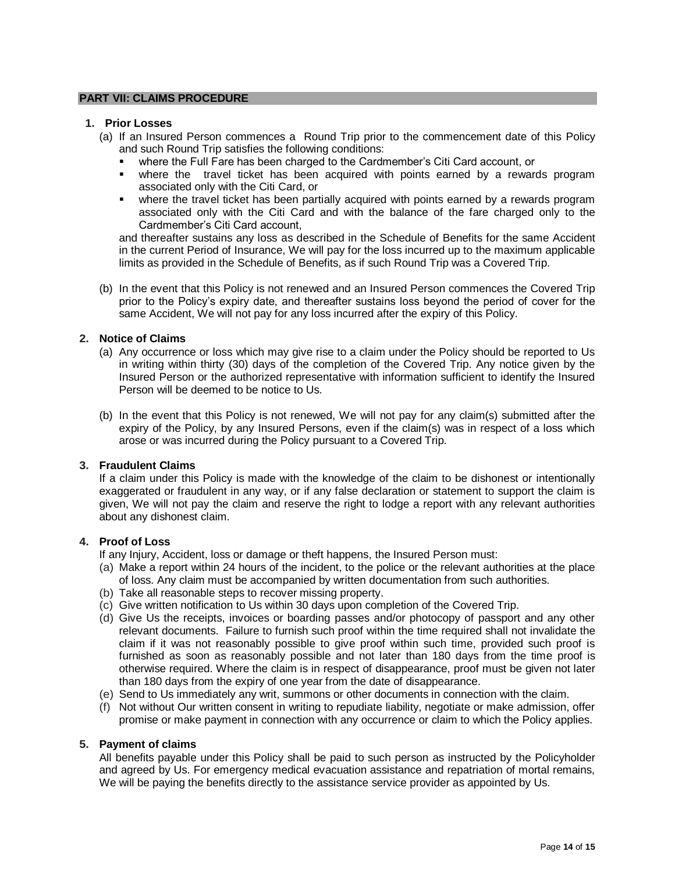## **PART VII: CLAIMS PROCEDURE**

## **1. Prior Losses**

- (a) If an Insured Person commences a Round Trip prior to the commencement date of this Policy and such Round Trip satisfies the following conditions:
	- where the Full Fare has been charged to the Cardmember's Citi Card account, or
	- where the travel ticket has been acquired with points earned by a rewards program associated only with the Citi Card, or
	- where the travel ticket has been partially acquired with points earned by a rewards program associated only with the Citi Card and with the balance of the fare charged only to the Cardmember's Citi Card account,

and thereafter sustains any loss as described in the Schedule of Benefits for the same Accident in the current Period of Insurance, We will pay for the loss incurred up to the maximum applicable limits as provided in the Schedule of Benefits, as if such Round Trip was a Covered Trip.

(b) In the event that this Policy is not renewed and an Insured Person commences the Covered Trip prior to the Policy's expiry date, and thereafter sustains loss beyond the period of cover for the same Accident, We will not pay for any loss incurred after the expiry of this Policy.

# **2. Notice of Claims**

- (a) Any occurrence or loss which may give rise to a claim under the Policy should be reported to Us in writing within thirty (30) days of the completion of the Covered Trip. Any notice given by the Insured Person or the authorized representative with information sufficient to identify the Insured Person will be deemed to be notice to Us.
- (b) In the event that this Policy is not renewed, We will not pay for any claim(s) submitted after the expiry of the Policy, by any Insured Persons, even if the claim(s) was in respect of a loss which arose or was incurred during the Policy pursuant to a Covered Trip.

## **3. Fraudulent Claims**

If a claim under this Policy is made with the knowledge of the claim to be dishonest or intentionally exaggerated or fraudulent in any way, or if any false declaration or statement to support the claim is given, We will not pay the claim and reserve the right to lodge a report with any relevant authorities about any dishonest claim.

## **4. Proof of Loss**

If any Injury, Accident, loss or damage or theft happens, the Insured Person must:

- (a) Make a report within 24 hours of the incident, to the police or the relevant authorities at the place of loss. Any claim must be accompanied by written documentation from such authorities.
- (b) Take all reasonable steps to recover missing property.
- (c) Give written notification to Us within 30 days upon completion of the Covered Trip.
- (d) Give Us the receipts, invoices or boarding passes and/or photocopy of passport and any other relevant documents. Failure to furnish such proof within the time required shall not invalidate the claim if it was not reasonably possible to give proof within such time, provided such proof is furnished as soon as reasonably possible and not later than 180 days from the time proof is otherwise required. Where the claim is in respect of disappearance, proof must be given not later than 180 days from the expiry of one year from the date of disappearance.
- (e) Send to Us immediately any writ, summons or other documents in connection with the claim.
- (f) Not without Our written consent in writing to repudiate liability, negotiate or make admission, offer promise or make payment in connection with any occurrence or claim to which the Policy applies.

## **5. Payment of claims**

All benefits payable under this Policy shall be paid to such person as instructed by the Policyholder and agreed by Us. For emergency medical evacuation assistance and repatriation of mortal remains, We will be paying the benefits directly to the assistance service provider as appointed by Us.